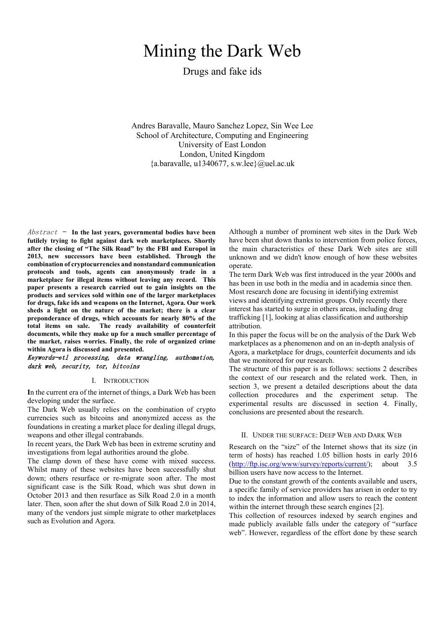# Mining the Dark Web

Drugs and fake ids

Andres Baravalle, Mauro Sanchez Lopez, Sin Wee Lee School of Architecture, Computing and Engineering University of East London London, United Kingdom  ${a.baravalle, u1340677, s.w.lee}$ @uel.ac.uk

Abstract — **In the last years, governmental bodies have been futilely trying to fight against dark web marketplaces. Shortly after the closing of "The Silk Road" by the FBI and Europol in 2013, new successors have been established. Through the combination of cryptocurrencies and nonstandard communication protocols and tools, agents can anonymously trade in a marketplace for illegal items without leaving any record. This paper presents a research carried out to gain insights on the products and services sold within one of the larger marketplaces for drugs, fake ids and weapons on the Internet, Agora. Our work sheds a light on the nature of the market; there is a clear preponderance of drugs, which accounts for nearly 80% of the total items on sale. The ready availability of counterfeit documents, while they make up for a much smaller percentage of the market, raises worries. Finally, the role of organized crime within Agora is discussed and presented.** 

## Keywords—etl processing, data wrangling, authomation, dark web, security, tor, bitcoins

## I. INTRODUCTION

**I**n the current era of the internet of things, a Dark Web has been developing under the surface.

The Dark Web usually relies on the combination of crypto currencies such as bitcoins and anonymized access as the foundations in creating a market place for dealing illegal drugs, weapons and other illegal contrabands.

In recent years, the Dark Web has been in extreme scrutiny and investigations from legal authorities around the globe.

The clamp down of these have come with mixed success. Whilst many of these websites have been successfully shut down; others resurface or re-migrate soon after. The most significant case is the Silk Road, which was shut down in October 2013 and then resurface as Silk Road 2.0 in a month later. Then, soon after the shut down of Silk Road 2.0 in 2014, many of the vendors just simple migrate to other marketplaces such as Evolution and Agora.

Although a number of prominent web sites in the Dark Web have been shut down thanks to intervention from police forces, the main characteristics of these Dark Web sites are still unknown and we didn't know enough of how these websites operate.

The term Dark Web was first introduced in the year 2000s and has been in use both in the media and in academia since then. Most research done are focusing in identifying extremist views and identifying extremist groups. Only recently there interest has started to surge in others areas, including drug trafficking [1], looking at alias classification and authorship attribution.

In this paper the focus will be on the analysis of the Dark Web marketplaces as a phenomenon and on an in-depth analysis of Agora, a marketplace for drugs, counterfeit documents and ids that we monitored for our research.

The structure of this paper is as follows: sections 2 describes the context of our research and the related work. Then, in section 3, we present a detailed descriptions about the data collection procedures and the experiment setup. The experimental results are discussed in section 4. Finally, conclusions are presented about the research.

#### II. UNDER THE SURFACE: DEEP WEB AND DARK WEB

Research on the "size" of the Internet shows that its size (in term of hosts) has reached 1.05 billion hosts in early 2016 [\(http://ftp.isc.org/www/survey/reports/current/\)](http://ftp.isc.org/www/survey/reports/current/); about 3.5 billion users have now access to the Internet.

Due to the constant growth of the contents available and users, a specific family of service providers has arisen in order to try to index the information and allow users to reach the content within the internet through these search engines [2].

This collection of resources indexed by search engines and made publicly available falls under the category of "surface web". However, regardless of the effort done by these search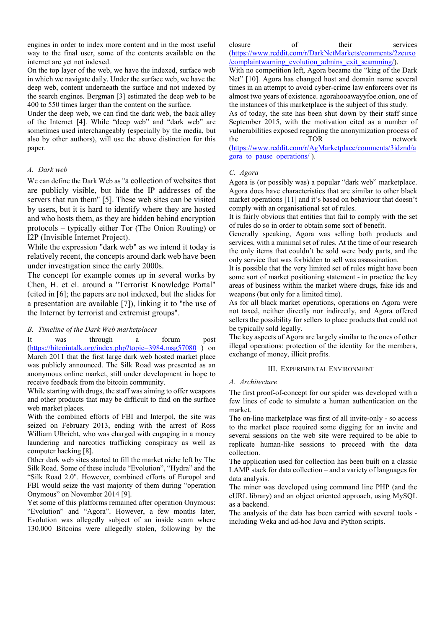engines in order to index more content and in the most useful way to the final user, some of the contents available on the internet are yet not indexed.

On the top layer of the web, we have the indexed, surface web in which we navigate daily. Under the surface web, we have the deep web, content underneath the surface and not indexed by the search engines. Bergman [3] estimated the deep web to be 400 to 550 times larger than the content on the surface.

Under the deep web, we can find the dark web, the back alley of the Internet [4]. While "deep web" and "dark web" are sometimes used interchangeably (especially by the media, but also by other authors), will use the above distinction for this paper.

# *A. Dark web*

We can define the Dark Web as "a collection of websites that are publicly visible, but hide the IP addresses of the servers that run them" [5]. These web sites can be visited by users, but it is hard to identify where they are hosted and who hosts them, as they are hidden behind encryption protocols – typically either Tor (The Onion Routing) or I2P (Invisible Internet Project).

While the expression "dark web" as we intend it today is relatively recent, the concepts around dark web have been under investigation since the early 2000s.

The concept for example comes up in several works by Chen, H. et el. around a "Terrorist Knowledge Portal" (cited in [6]; the papers are not indexed, but the slides for a presentation are available [7]), linking it to "the use of the Internet by terrorist and extremist groups".

# *B. Timeline of the Dark Web marketplaces*

It was through a forum post [\(https://bitcointalk.org/index.php?topic=3984.msg57080](https://bitcointalk.org/index.php?topic=3984.msg57080) ) on March 2011 that the first large dark web hosted market place was publicly announced. The Silk Road was presented as an anonymous online market, still under development in hope to receive feedback from the bitcoin community.

While starting with drugs, the staff was aiming to offer weapons and other products that may be difficult to find on the surface web market places.

With the combined efforts of FBI and Interpol, the site was seized on February 2013, ending with the arrest of Ross William Ulbricht, who was charged with engaging in a money laundering and narcotics trafficking conspiracy as well as computer hacking [8].

Other dark web sites started to fill the market niche left by The Silk Road. Some of these include "Evolution", "Hydra" and the "Silk Road 2.0". However, combined efforts of Europol and FBI would seize the vast majority of them during "operation Onymous" on November 2014 [9].

Yet some of this platforms remained after operation Onymous: "Evolution" and "Agora". However, a few months later, Evolution was allegedly subject of an inside scam where 130.000 Bitcoins were allegedly stolen, following by the

closure of their services [\(https://www.reddit.com/r/DarkNetMarkets/comments/2zeuxo](https://www.reddit.com/r/DarkNetMarkets/comments/2zeuxo/complaintwarning_evolution_admins_exit_scamming/) [/complaintwarning\\_evolution\\_admins\\_exit\\_scamming/\)](https://www.reddit.com/r/DarkNetMarkets/comments/2zeuxo/complaintwarning_evolution_admins_exit_scamming/).

With no competition left, Agora became the "king of the Dark Net" [10]. Agora has changed host and domain name several times in an attempt to avoid cyber-crime law enforcers over its almost two years of existence. agorahooawayyfoe.onion, one of the instances of this marketplace is the subject of this study.

As of today, the site has been shut down by their staff since September 2015, with the motivation cited as a number of vulnerabilities exposed regarding the anonymization process of the TOR network [\(https://www.reddit.com/r/AgMarketplace/comments/3idznd/a](https://www.reddit.com/r/AgMarketplace/comments/3idznd/agora_to_pause_operations/)

gora to pause operations/ ).

# *C. Agora*

Agora is (or possibly was) a popular "dark web" marketplace. Agora does have characteristics that are similar to other black market operations [11] and it's based on behaviour that doesn't comply with an organisational set of rules.

It is fairly obvious that entities that fail to comply with the set of rules do so in order to obtain some sort of benefit.

Generally speaking, Agora was selling both products and services, with a minimal set of rules. At the time of our research the only items that couldn't be sold were body parts, and the only service that was forbidden to sell was assassination.

It is possible that the very limited set of rules might have been some sort of market positioning statement - in practice the key areas of business within the market where drugs, fake ids and weapons (but only for a limited time).

As for all black market operations, operations on Agora were not taxed, neither directly nor indirectly, and Agora offered sellers the possibility for sellers to place products that could not be typically sold legally.

The key aspects of Agora are largely similar to the ones of other illegal operations: protection of the identity for the members, exchange of money, illicit profits.

# III. EXPERIMENTAL ENVIRONMENT

# *A. Architecture*

The first proof-of-concept for our spider was developed with a few lines of code to simulate a human authentication on the market.

The on-line marketplace was first of all invite-only - so access to the market place required some digging for an invite and several sessions on the web site were required to be able to replicate human-like sessions to proceed with the data collection.

The application used for collection has been built on a classic LAMP stack for data collection – and a variety of languages for data analysis.

The miner was developed using command line PHP (and the cURL library) and an object oriented approach, using MySQL as a backend.

The analysis of the data has been carried with several tools including Weka and ad-hoc Java and Python scripts.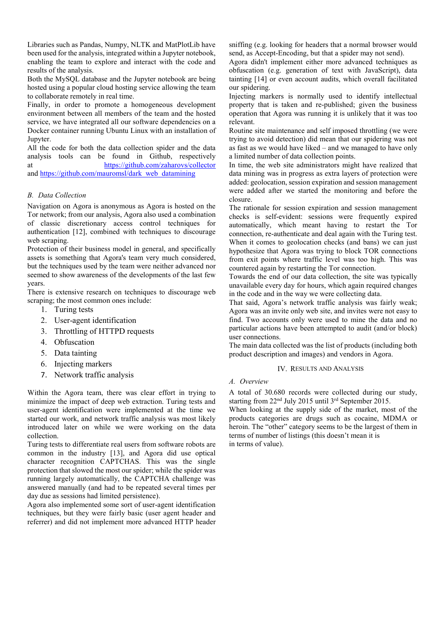Libraries such as Pandas, Numpy, NLTK and MatPlotLib have been used for the analysis, integrated within a Jupyter notebook, enabling the team to explore and interact with the code and results of the analysis.

Both the MySQL database and the Jupyter notebook are being hosted using a popular cloud hosting service allowing the team to collaborate remotely in real time.

Finally, in order to promote a homogeneous development environment between all members of the team and the hosted service, we have integrated all our software dependencies on a Docker container running Ubuntu Linux with an installation of Jupyter.

All the code for both the data collection spider and the data analysis tools can be found in Github, respectively at <https://github.com/zaharovs/collector> and https://github.com/mauromsl/dark\_web\_datamining

# *B. Data Collection*

Navigation on Agora is anonymous as Agora is hosted on the Tor network; from our analysis, Agora also used a combination of classic discretionary access control techniques for authentication [12], combined with techniques to discourage web scraping.

Protection of their business model in general, and specifically assets is something that Agora's team very much considered, but the techniques used by the team were neither advanced nor seemed to show awareness of the developments of the last few years.

There is extensive research on techniques to discourage web scraping; the most common ones include:

- 1. Turing tests
- 2. User-agent identification
- 3. Throttling of HTTPD requests
- 4. Obfuscation
- 5. Data tainting
- 6. Injecting markers
- 7. Network traffic analysis

Within the Agora team, there was clear effort in trying to minimize the impact of deep web extraction. Turing tests and user-agent identification were implemented at the time we started our work, and network traffic analysis was most likely introduced later on while we were working on the data collection.

Turing tests to differentiate real users from software robots are common in the industry [13], and Agora did use optical character recognition CAPTCHAS. This was the single protection that slowed the most our spider; while the spider was running largely automatically, the CAPTCHA challenge was answered manually (and had to be repeated several times per day due as sessions had limited persistence).

Agora also implemented some sort of user-agent identification techniques, but they were fairly basic (user agent header and referrer) and did not implement more advanced HTTP header

sniffing (e.g. looking for headers that a normal browser would send, as Accept-Encoding, but that a spider may not send).

Agora didn't implement either more advanced techniques as obfuscation (e.g. generation of text with JavaScript), data tainting [14] or even account audits, which overall facilitated our spidering.

Injecting markers is normally used to identify intellectual property that is taken and re-published; given the business operation that Agora was running it is unlikely that it was too relevant.

Routine site maintenance and self imposed throttling (we were trying to avoid detection) did mean that our spidering was not as fast as we would have liked – and we managed to have only a limited number of data collection points.

In time, the web site administrators might have realized that data mining was in progress as extra layers of protection were added: geolocation, session expiration and session management were added after we started the monitoring and before the closure.

The rationale for session expiration and session management checks is self-evident: sessions were frequently expired automatically, which meant having to restart the Tor connection, re-authenticate and deal again with the Turing test. When it comes to geolocation checks (and bans) we can just hypothesize that Agora was trying to block TOR connections from exit points where traffic level was too high. This was countered again by restarting the Tor connection.

Towards the end of our data collection, the site was typically unavailable every day for hours, which again required changes in the code and in the way we were collecting data.

That said, Agora's network traffic analysis was fairly weak; Agora was an invite only web site, and invites were not easy to find. Two accounts only were used to mine the data and no particular actions have been attempted to audit (and/or block) user connections.

The main data collected was the list of products (including both product description and images) and vendors in Agora.

### IV. RESULTS AND ANALYSIS

## *A. Overview*

A total of 30.680 records were collected during our study, starting from 22nd July 2015 until 3rd September 2015.

When looking at the supply side of the market, most of the products categories are drugs such as cocaine, MDMA or heroin. The "other" category seems to be the largest of them in terms of number of listings (this doesn't mean it is in terms of value).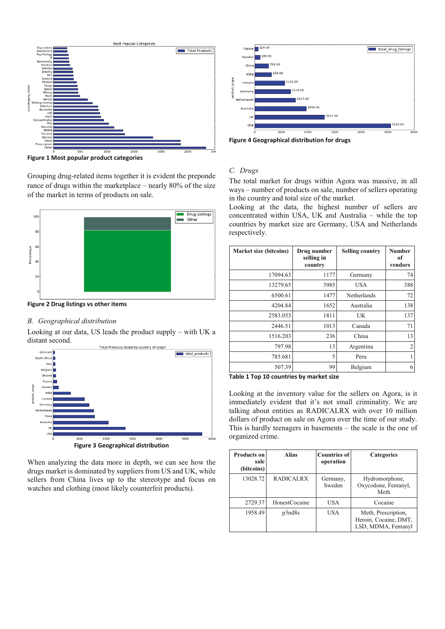

**Figure 1 Most popular product categories** 

Grouping drug-related items together it is evident the preponde rance of drugs within the marketplace – nearly  $80\%$  of the size of the market in terms of products on sale.



**Figure 2 Drug listings vs other items** 

# $B.$  *Geographical distribution*

Looking at our data, US leads the product supply – with UK a distant second.



When analyzing the data more in depth, we can see how the drugs market is dominated by suppliers from US and UK, while sellers from China lives up to the stereotype and focus on watches and clothing (most likely counterfeit products).



**Figure 4 Geographical distribution for drugs** 

## $C.$  *Drugs*

The total market for drugs within Agora was massive, in all  $ways$  – number of products on sale, number of sellers operating in the country and total size of the market.

Looking at the data, the highest number of sellers are concentrated within USA, UK and Australia  $-$  while the top countries by market size are Germany, USA and Netherlands respectively.

| <b>Market size (bitcoins)</b> | Drug number<br>selling in<br>country | <b>Selling country</b> | <b>Number</b><br>of<br>vendors |
|-------------------------------|--------------------------------------|------------------------|--------------------------------|
| 17094.63                      | 1177                                 | Germany                | 74                             |
| 13279.65                      | 3985                                 | <b>USA</b>             | 388                            |
| 6500.61                       | 1477                                 | Netherlands            | 72                             |
| 4204.84                       | 1652                                 | Australia              | 138                            |
| 2583.053                      | 1811                                 | UK                     | 137                            |
| 2446.51                       | 1013                                 | Canada                 | 71                             |
| 1516.203                      | 236                                  | China                  | 13                             |
| 797.98                        | 13                                   | Argentina              | 2                              |
| 785.681                       | 5                                    | Peru                   |                                |
| 507.39                        | 99                                   | Belgium                | 6                              |



Looking at the inventory value for the sellers on Agora, is it immediately evident that it's not small criminality. We are talking about entities as RADICALRX with over 10 million dollars of product on sale on Agora over the time of our study. This is hardly teenagers in basements  $-$  the scale is the one of organized crime.

| <b>Products on</b><br>sale<br>(bitcoins) | Alias            | <b>Countries of</b><br>operation | Categories                                                          |
|------------------------------------------|------------------|----------------------------------|---------------------------------------------------------------------|
| 13028.72                                 | <b>RADICALRX</b> | Germany,<br>Sweden               | Hydromorphone,<br>Oxycodone, Fentanyl,<br>Meth                      |
| 2729.37                                  | HonestCocaine    | USA                              | Cocaine                                                             |
| 1958.49                                  | p3nd8s           | USA                              | Meth, Prescription,<br>Heroin, Cocaine, DMT,<br>LSD, MDMA, Fentanyl |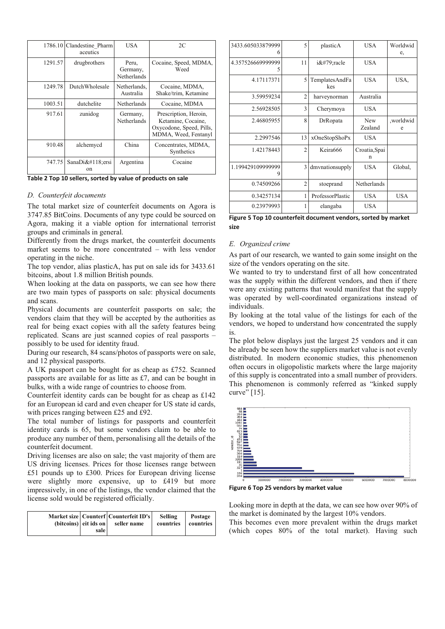|         | 1786.10 Clandestine Pharm<br>aceutics | <b>USA</b>                       | 2C                                                                                              |
|---------|---------------------------------------|----------------------------------|-------------------------------------------------------------------------------------------------|
| 1291.57 | drugbrothers                          | Peru,<br>Germany,<br>Netherlands | Cocaine, Speed, MDMA,<br>Weed                                                                   |
| 1249.78 | <b>DutchWholesale</b>                 | Netherlands,<br>Australia        | Cocaine, MDMA,<br>Shake/trim, Ketamine                                                          |
| 1003.51 | dutchelite                            | Netherlands                      | Cocaine, MDMA                                                                                   |
| 917.61  | zunidog                               | Germany,<br><b>Netherlands</b>   | Prescription, Heroin,<br>Ketamine, Cocaine,<br>Oxycodone, Speed, Pills,<br>MDMA, Weed, Fentanyl |
| 910.48  | alchemycd                             | China                            | Concentrates, MDMA,<br>Synthetics                                                               |
| 747.75  | SanaDiversi<br>on                     | Argentina                        | Cocaine                                                                                         |

**Table 2 Top 10 sellers, sorted by value of products on sale** 

## $D.$  *Counterfeit documents*

The total market size of counterfeit documents on Agora is 3747.85 BitCoins. Documents of any type could be sourced on Agora, making it a viable option for international terrorist groups and criminals in general.

Differently from the drugs market, the counterfeit documents market seems to be more concentrated  $-$  with less vendor operating in the niche.

The top vendor, alias plasticA, has put on sale ids for 3433.61 bitcoins, about 1.8 million British pounds.

When looking at the data on passports, we can see how there are two main types of passports on sale: physical documents and scans.

Physical documents are counterfeit passports on sale; the vendors claim that they will be accepted by the authorities as real for being exact copies with all the safety features being replicated. Scans are just scanned copies of real passports possibly to be used for identity fraud.

During our research, 84 scans/photos of passports were on sale, and 12 physical passports.

A UK passport can be bought for as cheap as £752. Scanned passports are available for as litte as  $£7$ , and can be bought in bulks, with a wide range of countries to choose from.

Counterfeit identity cards can be bought for as cheap as  $£142$ for an European id card and even cheaper for US state id cards, with prices ranging between £25 and  $£92$ .

The total number of listings for passports and counterfeit identity cards is 65, but some vendors claim to be able to produce any number of them, personalising all the details of the counterfeit document.

Driving licenses are also on sale; the vast majority of them are US driving licenses. Prices for those licenses range between £51 pounds up to £300. Prices for European driving license were slightly more expensive, up to £419 but more impressively, in one of the listings, the vendor claimed that the license sold would be registered officially.

| Market size   Counterf   Counterfeit ID's  <br>(bitcoins) eit ids on | sale | seller name | Selling<br>countries countries | Postage |
|----------------------------------------------------------------------|------|-------------|--------------------------------|---------|
|----------------------------------------------------------------------|------|-------------|--------------------------------|---------|

| 3433.605033879999<br>h | 5              | plasticA              | <b>USA</b>            | Worldwid<br>e, |
|------------------------|----------------|-----------------------|-----------------------|----------------|
| 4.357526669999999<br>5 | 11             | $i\&\#79$ ; racle     | USA                   |                |
| 4.17117371             | 5              | TemplatesAndFa<br>kes | USA                   | USA,           |
| 3.59959234             | $\overline{2}$ | harveynorman          | Australia             |                |
| 2.56928505             | 3              | Cherymoya             | USA                   |                |
| 2.46805955             | 8              | DrRopata              | <b>New</b><br>Zealand | ,worldwid<br>e |
| 2.2997546              | 13             | xOneStopShoPx         | USA                   |                |
| 1.42178443             | $\overline{c}$ | Keira <sub>666</sub>  | Croatia, Spai<br>n    |                |
| 1.199429109999999<br>9 | 3              | dmynationsupply       | USA                   | Global,        |
| 0.74509266             | $\overline{c}$ | stoeprand             | Netherlands           |                |
| 0.34257134             | 1              | ProfessorPlastic      | <b>USA</b>            | <b>USA</b>     |
| 0.23979993             | 1              | elangaba              | <b>USA</b>            |                |

**Figure 5 Top 10 counterfeit document vendors, sorted by market size** 

## $E$ *. Organized crime*

As part of our research, we wanted to gain some insight on the size of the vendors operating on the site.

We wanted to try to understand first of all how concentrated was the supply within the different vendors, and then if there were any existing patterns that would manifest that the supply was operated by well-coordinated organizations instead of individuals.

By looking at the total value of the listings for each of the vendors, we hoped to understand how concentrated the supply is.

The plot below displays just the largest 25 vendors and it can be already be seen how the suppliers market value is not evenly distributed. In modern economic studies, this phenomenon often occurs in oligopolistic markets where the large majority of this supply is concentrated into a small number of providers. This phenomenon is commonly referred as "kinked supply curve"  $[15]$ .



**Figure 6 Top 25 vendors by market value**

Looking more in depth at the data, we can see how over 90% of the market is dominated by the largest  $10\%$  vendors.

This becomes even more prevalent within the drugs market (which copes  $80\%$  of the total market). Having such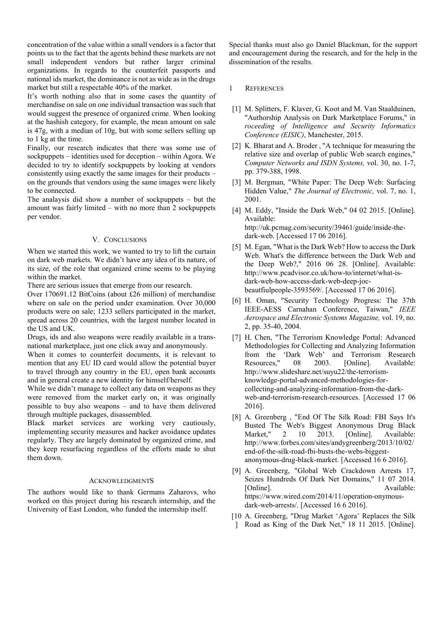concentration of the value within a small vendors is a factor that points us to the fact that the agents behind these markets are not small independent vendors but rather larger criminal organizations. In regards to the counterfeit passports and national ids market, the dominance is not as wide as in the drugs market but still a respectable 40% of the market.

It's worth nothing also that in some cases the quantity of merchandise on sale on one individual transaction was such that would suggest the presence of organized crime. When looking at the hashish category, for example, the mean amount on sale is 47g, with a median of 10g, but with some sellers selling up to 1 kg at the time.

Finally, our research indicates that there was some use of sockpuppets – identities used for deception – within Agora. We decided to try to identify sockpuppets by looking at vendors consistently using exactly the same images for their products – on the grounds that vendors using the same images were likely to be connected.

The analaysis did show a number of sockpuppets – but the amount was fairly limited – with no more than 2 sockpuppets per vendor.

## V. CONCLUSIONS

When we started this work, we wanted to try to lift the curtain on dark web markets. We didn't have any idea of its nature, of its size, of the role that organized crime seems to be playing within the market.

There are serious issues that emerge from our research.

Over 170691.12 BitCoins (about £26 million) of merchandise where on sale on the period under examination. Over 30,000 products were on sale; 1233 sellers participated in the market, spread across 20 countries, with the largest number located in the US and UK.

Drugs, ids and also weapons were readily available in a transnational marketplace, just one click away and anonymously.

When it comes to counterfeit documents, it is relevant to mention that any EU ID card would allow the potential buyer to travel through any country in the EU, open bank accounts and in general create a new identity for himself/herself.

While we didn't manage to collect any data on weapons as they were removed from the market early on, it was originally possible to buy also weapons – and to have them delivered through multiple packages, disassembled.

Black market services are working very cautiously, implementing security measures and hacker avoidance updates regularly. They are largely dominated by organized crime, and they keep resurfacing regardless of the efforts made to shut them down.

#### **ACKNOWLEDGMENTS**

The authors would like to thank Germans Zaharovs, who worked on this project during his research internship, and the University of East London, who funded the internship itself.

Special thanks must also go Daniel Blackman, for the support and encouragement during the research, and for the help in the dissemination of the results.

## 1 REFERENCES

- [1] M. Splitters, F. Klaver, G. Koot and M. Van Staalduinen, "Authorship Analysis on Dark Marketplace Forums," in *roceeding of Intelligence and Security Informatics Conference (EISIC)*, Manchester, 2015.
- [2] K. Bharat and A. Broder, "A technique for measuring the relative size and overlap of public Web search engines," *Computer Networks and ISDN Systems,* vol. 30, no. 1-7, pp. 379-388, 1998.
- [3] M. Bergman, "White Paper: The Deep Web: Surfacing Hidden Value," *The Journal of Electronic,* vol. 7, no. 1, 2001.
- [4] M. Eddy, "Inside the Dark Web," 04 02 2015. [Online]. Available: http://uk.pcmag.com/security/39461/guide/inside-thedark-web. [Accessed 17 06 2016].
- [5] M. Egan, "What is the Dark Web? How to access the Dark Web. What's the difference between the Dark Web and the Deep Web?," 2016 06 28. [Online]. Available: http://www.pcadvisor.co.uk/how-to/internet/what-isdark-web-how-access-dark-web-deep-jocbeautfiulpeople-3593569/. [Accessed 17 06 2016].
- [6] H. Oman, "Security Technology Progress: The 37th IEEE-AESS Carnahan Conference, Taiwan," *IEEE Aerospace and Electronic Systems Magazine,* vol. 19, no. 2, pp. 35-40, 2004.
- [7] H. Chen, "The Terrorism Knowledge Portal: Advanced Methodologies for Collecting and Analyzing Information from the 'Dark Web' and Terrorism Research Resources," 08 2003. [Online]. Available: http://www.slideshare.net/suyu22/the-terrorismknowledge-portal-advanced-methodologies-forcollecting-and-analyzing-information-from-the-darkweb-and-terrorism-research-resources. [Accessed 17 06 2016].
- [8] A. Greenberg , "End Of The Silk Road: FBI Says It's Busted The Web's Biggest Anonymous Drug Black Market," 2 10 2013. [Online]. Available: http://www.forbes.com/sites/andygreenberg/2013/10/02/ end-of-the-silk-road-fbi-busts-the-webs-biggestanonymous-drug-black-market. [Accessed 16 6 2016].
- [9] A. Greenberg, "Global Web Crackdown Arrests 17, Seizes Hundreds Of Dark Net Domains," 11 07 2014. [Online]. Available: https://www.wired.com/2014/11/operation-onymousdark-web-arrests/. [Accessed 16 6 2016].
- [10 A. Greenberg, "Drug Market 'Agora' Replaces the Silk ] Road as King of the Dark Net," 18 11 2015. [Online].